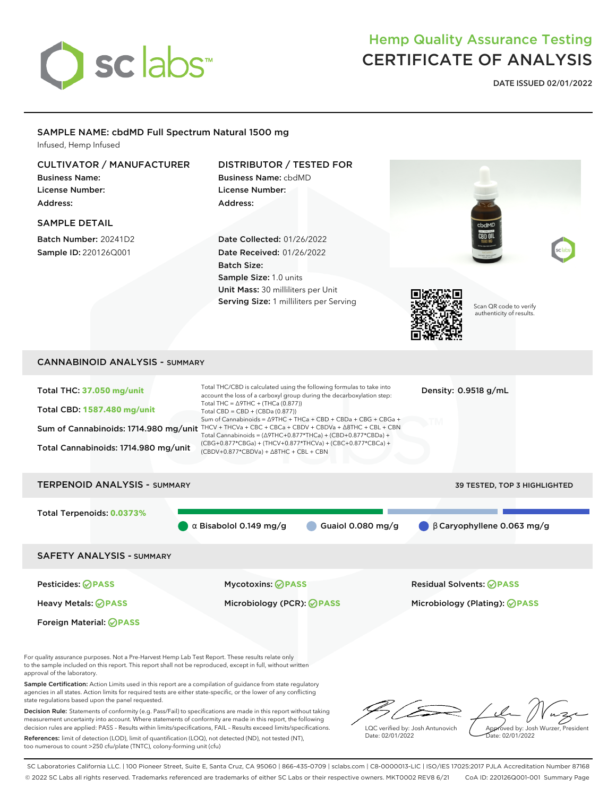

## Hemp Quality Assurance Testing CERTIFICATE OF ANALYSIS

**DATE ISSUED 02/01/2022**

### SAMPLE NAME: cbdMD Full Spectrum Natural 1500 mg

Infused, Hemp Infused

### CULTIVATOR / MANUFACTURER

Business Name: License Number: Address:

#### SAMPLE DETAIL

Batch Number: 20241D2 Sample ID: 220126Q001

Foreign Material: **PASS**

## DISTRIBUTOR / TESTED FOR

Business Name: cbdMD License Number:

Address:

Date Collected: 01/26/2022 Date Received: 01/26/2022 Batch Size: Sample Size: 1.0 units Unit Mass: 30 milliliters per Unit Serving Size: 1 milliliters per Serving



Scan QR code to verify authenticity of results.

### CANNABINOID ANALYSIS - SUMMARY

| <b>TERPENOID ANALYSIS - SUMMARY</b><br>39 TESTED, TOP 3 HIGHLIGHTED<br>Total Terpenoids: 0.0373%<br>$\beta$ Caryophyllene 0.063 mg/g<br>$\alpha$ Bisabolol 0.149 mg/g<br>Guaiol $0.080$ mg/g<br><b>SAFETY ANALYSIS - SUMMARY</b><br>Pesticides: ⊘PASS<br><b>Mycotoxins: ⊘PASS</b><br><b>Residual Solvents: ⊘PASS</b> | Total THC: 37.050 mg/unit<br><b>Total CBD: 1587.480 mg/unit</b><br>Sum of Cannabinoids: 1714.980 mg/unit<br>Total Cannabinoids: 1714.980 mg/unit | Total THC/CBD is calculated using the following formulas to take into<br>account the loss of a carboxyl group during the decarboxylation step:<br>Total THC = $\triangle$ 9THC + (THCa (0.877))<br>Total CBD = $CBD + (CBDa (0.877))$<br>Sum of Cannabinoids = $\triangle$ 9THC + THCa + CBD + CBDa + CBG + CBGa +<br>THCV + THCVa + CBC + CBCa + CBDV + CBDVa + $\Delta$ 8THC + CBL + CBN<br>Total Cannabinoids = $(\Delta$ 9THC+0.877*THCa) + (CBD+0.877*CBDa) +<br>(CBG+0.877*CBGa) + (THCV+0.877*THCVa) + (CBC+0.877*CBCa) +<br>$(CBDV+0.877*CBDVa) + \Delta 8THC + CBL + CBN$ | Density: $0.9518$ g/mL |
|----------------------------------------------------------------------------------------------------------------------------------------------------------------------------------------------------------------------------------------------------------------------------------------------------------------------|--------------------------------------------------------------------------------------------------------------------------------------------------|------------------------------------------------------------------------------------------------------------------------------------------------------------------------------------------------------------------------------------------------------------------------------------------------------------------------------------------------------------------------------------------------------------------------------------------------------------------------------------------------------------------------------------------------------------------------------------|------------------------|
|                                                                                                                                                                                                                                                                                                                      |                                                                                                                                                  |                                                                                                                                                                                                                                                                                                                                                                                                                                                                                                                                                                                    |                        |
|                                                                                                                                                                                                                                                                                                                      |                                                                                                                                                  |                                                                                                                                                                                                                                                                                                                                                                                                                                                                                                                                                                                    |                        |
|                                                                                                                                                                                                                                                                                                                      |                                                                                                                                                  |                                                                                                                                                                                                                                                                                                                                                                                                                                                                                                                                                                                    |                        |
| Heavy Metals: ⊘PASS<br>Microbiology (PCR): ⊘PASS<br>Microbiology (Plating): ⊘PASS                                                                                                                                                                                                                                    |                                                                                                                                                  |                                                                                                                                                                                                                                                                                                                                                                                                                                                                                                                                                                                    |                        |

For quality assurance purposes. Not a Pre-Harvest Hemp Lab Test Report. These results relate only to the sample included on this report. This report shall not be reproduced, except in full, without written approval of the laboratory.

Sample Certification: Action Limits used in this report are a compilation of guidance from state regulatory agencies in all states. Action limits for required tests are either state-specific, or the lower of any conflicting state regulations based upon the panel requested.

Decision Rule: Statements of conformity (e.g. Pass/Fail) to specifications are made in this report without taking measurement uncertainty into account. Where statements of conformity are made in this report, the following decision rules are applied: PASS – Results within limits/specifications, FAIL – Results exceed limits/specifications.

References: limit of detection (LOD), limit of quantification (LOQ), not detected (ND), not tested (NT), too numerous to count >250 cfu/plate (TNTC), colony-forming unit (cfu)

LQC verified by: Josh Antunovich Date: 02/01/2022

Approved by: Josh Wurzer, President Date: 02/01/2022

SC Laboratories California LLC. | 100 Pioneer Street, Suite E, Santa Cruz, CA 95060 | 866-435-0709 | sclabs.com | C8-0000013-LIC | ISO/IES 17025:2017 PJLA Accreditation Number 87168 © 2022 SC Labs all rights reserved. Trademarks referenced are trademarks of either SC Labs or their respective owners. MKT0002 REV8 6/21 CoA ID: 220126Q001-001 Summary Page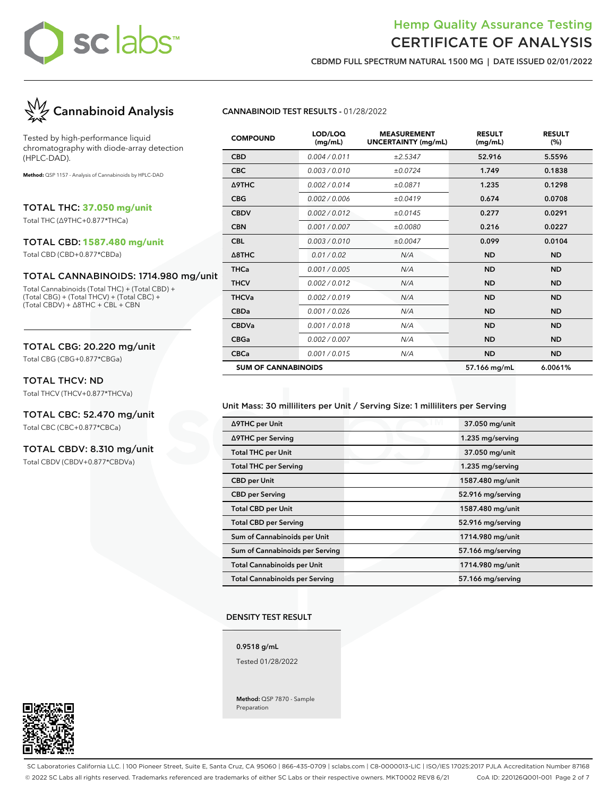### Hemp Quality Assurance Testing CERTIFICATE OF ANALYSIS

**CBDMD FULL SPECTRUM NATURAL 1500 MG | DATE ISSUED 02/01/2022**



Tested by high-performance liquid chromatography with diode-array detection (HPLC-DAD).

**Method:** QSP 1157 - Analysis of Cannabinoids by HPLC-DAD

TOTAL THC: **37.050 mg/unit**

Total THC (∆9THC+0.877\*THCa)

### TOTAL CBD: **1587.480 mg/unit**

Total CBD (CBD+0.877\*CBDa)

### TOTAL CANNABINOIDS: 1714.980 mg/unit

Total Cannabinoids (Total THC) + (Total CBD) + (Total CBG) + (Total THCV) + (Total CBC) + (Total CBDV) + ∆8THC + CBL + CBN

### TOTAL CBG: 20.220 mg/unit

Total CBG (CBG+0.877\*CBGa)

### TOTAL THCV: ND

Total THCV (THCV+0.877\*THCVa)

## TOTAL CBC: 52.470 mg/unit

Total CBC (CBC+0.877\*CBCa)

### TOTAL CBDV: 8.310 mg/unit

Total CBDV (CBDV+0.877\*CBDVa)

### **CANNABINOID TEST RESULTS -** 01/28/2022

| <b>COMPOUND</b>            | LOD/LOQ<br>(mg/mL) | <b>MEASUREMENT</b><br><b>UNCERTAINTY (mg/mL)</b> | <b>RESULT</b><br>(mg/mL) | <b>RESULT</b><br>(%) |
|----------------------------|--------------------|--------------------------------------------------|--------------------------|----------------------|
| <b>CBD</b>                 | 0.004 / 0.011      | ±2.5347                                          | 52.916                   | 5.5596               |
| <b>CBC</b>                 | 0.003/0.010        | ±0.0724                                          | 1.749                    | 0.1838               |
| Δ9THC                      | 0.002/0.014        | ±0.0871                                          | 1.235                    | 0.1298               |
| <b>CBG</b>                 | 0.002 / 0.006      | ±0.0419                                          | 0.674                    | 0.0708               |
| <b>CBDV</b>                | 0.002/0.012        | ±0.0145                                          | 0.277                    | 0.0291               |
| <b>CBN</b>                 | 0.001/0.007        | ±0.0080                                          | 0.216                    | 0.0227               |
| <b>CBL</b>                 | 0.003/0.010        | ±0.0047                                          | 0.099                    | 0.0104               |
| $\triangle$ 8THC           | 0.01 / 0.02        | N/A                                              | <b>ND</b>                | <b>ND</b>            |
| <b>THCa</b>                | 0.001 / 0.005      | N/A                                              | <b>ND</b>                | <b>ND</b>            |
| <b>THCV</b>                | 0.002/0.012        | N/A                                              | <b>ND</b>                | <b>ND</b>            |
| <b>THCVa</b>               | 0.002/0.019        | N/A                                              | <b>ND</b>                | <b>ND</b>            |
| <b>CBDa</b>                | 0.001/0.026        | N/A                                              | <b>ND</b>                | <b>ND</b>            |
| <b>CBDVa</b>               | 0.001 / 0.018      | N/A                                              | <b>ND</b>                | <b>ND</b>            |
| <b>CBGa</b>                | 0.002 / 0.007      | N/A                                              | <b>ND</b>                | <b>ND</b>            |
| <b>CBCa</b>                | 0.001 / 0.015      | N/A                                              | <b>ND</b>                | <b>ND</b>            |
| <b>SUM OF CANNABINOIDS</b> |                    |                                                  | 57.166 mg/mL             | 6.0061%              |

### Unit Mass: 30 milliliters per Unit / Serving Size: 1 milliliters per Serving

| ∆9THC per Unit                        |  | 37.050 mg/unit    |  |
|---------------------------------------|--|-------------------|--|
| ∆9THC per Serving                     |  | 1.235 mg/serving  |  |
| <b>Total THC per Unit</b>             |  | 37.050 mg/unit    |  |
| <b>Total THC per Serving</b>          |  | 1.235 mg/serving  |  |
| <b>CBD per Unit</b>                   |  | 1587.480 mg/unit  |  |
| <b>CBD per Serving</b>                |  | 52.916 mg/serving |  |
| <b>Total CBD per Unit</b>             |  | 1587.480 mg/unit  |  |
| <b>Total CBD per Serving</b>          |  | 52.916 mg/serving |  |
| Sum of Cannabinoids per Unit          |  | 1714.980 mg/unit  |  |
| Sum of Cannabinoids per Serving       |  | 57.166 mg/serving |  |
| <b>Total Cannabinoids per Unit</b>    |  | 1714.980 mg/unit  |  |
| <b>Total Cannabinoids per Serving</b> |  | 57.166 mg/serving |  |

#### **DENSITY TEST RESULT**

**0.9518 g/mL**

Tested 01/28/2022

**Method:** QSP 7870 - Sample Preparation



SC Laboratories California LLC. | 100 Pioneer Street, Suite E, Santa Cruz, CA 95060 | 866-435-0709 | sclabs.com | C8-0000013-LIC | ISO/IES 17025:2017 PJLA Accreditation Number 87168 © 2022 SC Labs all rights reserved. Trademarks referenced are trademarks of either SC Labs or their respective owners. MKT0002 REV8 6/21 CoA ID: 220126Q001-001 Page 2 of 7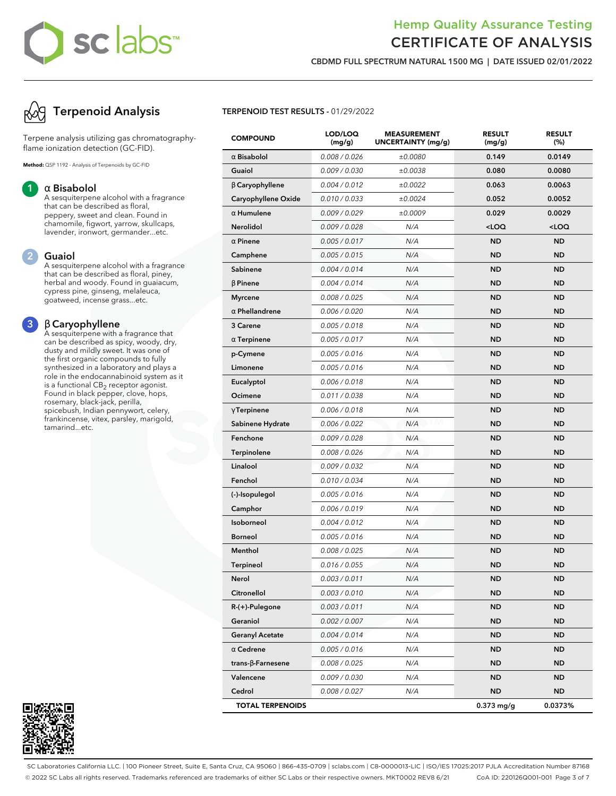# **sc abs**

### Hemp Quality Assurance Testing CERTIFICATE OF ANALYSIS

**CBDMD FULL SPECTRUM NATURAL 1500 MG | DATE ISSUED 02/01/2022**

## **Terpenoid Analysis**

Terpene analysis utilizing gas chromatographyflame ionization detection (GC-FID).

**Method:** QSP 1192 - Analysis of Terpenoids by GC-FID

### **1** α **Bisabolol**

A sesquiterpene alcohol with a fragrance that can be described as floral, peppery, sweet and clean. Found in chamomile, figwort, yarrow, skullcaps, lavender, ironwort, germander...etc.

### **2 Guaiol**

A sesquiterpene alcohol with a fragrance that can be described as floral, piney, herbal and woody. Found in guaiacum, cypress pine, ginseng, melaleuca, goatweed, incense grass...etc.

### **3** β **Caryophyllene**

A sesquiterpene with a fragrance that can be described as spicy, woody, dry, dusty and mildly sweet. It was one of the first organic compounds to fully synthesized in a laboratory and plays a role in the endocannabinoid system as it is a functional  $\mathsf{CB}_2$  receptor agonist. Found in black pepper, clove, hops, rosemary, black-jack, perilla, spicebush, Indian pennywort, celery, frankincense, vitex, parsley, marigold, tamarind...etc.



### **TERPENOID TEST RESULTS -** 01/29/2022

| <b>COMPOUND</b>           | LOD/LOQ<br>(mg/g) | <b>MEASUREMENT</b><br>UNCERTAINTY (mg/g) | <b>RESULT</b><br>(mg/g)                         | <b>RESULT</b><br>(%) |
|---------------------------|-------------------|------------------------------------------|-------------------------------------------------|----------------------|
| $\alpha$ Bisabolol        | 0.008 / 0.026     | ±0.0080                                  | 0.149                                           | 0.0149               |
| Guaiol                    | 0.009 / 0.030     | ±0.0038                                  | 0.080                                           | 0.0080               |
| $\beta$ Caryophyllene     | 0.004 / 0.012     | ±0.0022                                  | 0.063                                           | 0.0063               |
| Caryophyllene Oxide       | 0.010 / 0.033     | ±0.0024                                  | 0.052                                           | 0.0052               |
| $\alpha$ Humulene         | 0.009/0.029       | ±0.0009                                  | 0.029                                           | 0.0029               |
| Nerolidol                 | 0.009 / 0.028     | N/A                                      | <loq< th=""><th><loq< th=""></loq<></th></loq<> | <loq< th=""></loq<>  |
| $\alpha$ Pinene           | 0.005 / 0.017     | N/A                                      | <b>ND</b>                                       | <b>ND</b>            |
| Camphene                  | 0.005 / 0.015     | N/A                                      | <b>ND</b>                                       | <b>ND</b>            |
| Sabinene                  | 0.004 / 0.014     | N/A                                      | <b>ND</b>                                       | <b>ND</b>            |
| $\beta$ Pinene            | 0.004 / 0.014     | N/A                                      | <b>ND</b>                                       | <b>ND</b>            |
| <b>Myrcene</b>            | 0.008 / 0.025     | N/A                                      | <b>ND</b>                                       | <b>ND</b>            |
| $\alpha$ Phellandrene     | 0.006 / 0.020     | N/A                                      | <b>ND</b>                                       | <b>ND</b>            |
| 3 Carene                  | 0.005 / 0.018     | N/A                                      | <b>ND</b>                                       | <b>ND</b>            |
| $\alpha$ Terpinene        | 0.005 / 0.017     | N/A                                      | <b>ND</b>                                       | <b>ND</b>            |
| p-Cymene                  | 0.005 / 0.016     | N/A                                      | <b>ND</b>                                       | <b>ND</b>            |
| Limonene                  | 0.005 / 0.016     | N/A                                      | <b>ND</b>                                       | <b>ND</b>            |
| Eucalyptol                | 0.006 / 0.018     | N/A                                      | <b>ND</b>                                       | <b>ND</b>            |
| Ocimene                   | 0.011 / 0.038     | N/A                                      | <b>ND</b>                                       | <b>ND</b>            |
| $\gamma$ Terpinene        | 0.006 / 0.018     | N/A                                      | <b>ND</b>                                       | <b>ND</b>            |
| Sabinene Hydrate          | 0.006 / 0.022     | N/A                                      | <b>ND</b>                                       | <b>ND</b>            |
| Fenchone                  | 0.009 / 0.028     | N/A                                      | <b>ND</b>                                       | <b>ND</b>            |
| Terpinolene               | 0.008 / 0.026     | N/A                                      | <b>ND</b>                                       | <b>ND</b>            |
| Linalool                  | 0.009 / 0.032     | N/A                                      | <b>ND</b>                                       | <b>ND</b>            |
| Fenchol                   | 0.010 / 0.034     | N/A                                      | <b>ND</b>                                       | <b>ND</b>            |
| (-)-Isopulegol            | 0.005 / 0.016     | N/A                                      | <b>ND</b>                                       | <b>ND</b>            |
| Camphor                   | 0.006 / 0.019     | N/A                                      | <b>ND</b>                                       | <b>ND</b>            |
| Isoborneol                | 0.004 / 0.012     | N/A                                      | <b>ND</b>                                       | <b>ND</b>            |
| <b>Borneol</b>            | 0.005 / 0.016     | N/A                                      | <b>ND</b>                                       | <b>ND</b>            |
| Menthol                   | 0.008 / 0.025     | N/A                                      | <b>ND</b>                                       | <b>ND</b>            |
| <b>Terpineol</b>          | 0.016 / 0.055     | N/A                                      | <b>ND</b>                                       | <b>ND</b>            |
| Nerol                     | 0.003 / 0.011     | N/A                                      | ND                                              | <b>ND</b>            |
| Citronellol               | 0.003 / 0.010     | N/A                                      | <b>ND</b>                                       | <b>ND</b>            |
| R-(+)-Pulegone            | 0.003 / 0.011     | N/A                                      | ND                                              | ND.                  |
| Geraniol                  | 0.002 / 0.007     | N/A                                      | <b>ND</b>                                       | <b>ND</b>            |
| <b>Geranyl Acetate</b>    | 0.004 / 0.014     | N/A                                      | <b>ND</b>                                       | ND.                  |
| $\alpha$ Cedrene          | 0.005 / 0.016     | N/A                                      | <b>ND</b>                                       | ND.                  |
| trans- $\beta$ -Farnesene | 0.008 / 0.025     | N/A                                      | <b>ND</b>                                       | <b>ND</b>            |
| Valencene                 | 0.009 / 0.030     | N/A                                      | <b>ND</b>                                       | ND.                  |
| Cedrol                    | 0.008 / 0.027     | N/A                                      | ND                                              | ND                   |
| <b>TOTAL TERPENOIDS</b>   |                   |                                          | $0.373$ mg/g                                    | 0.0373%              |

SC Laboratories California LLC. | 100 Pioneer Street, Suite E, Santa Cruz, CA 95060 | 866-435-0709 | sclabs.com | C8-0000013-LIC | ISO/IES 17025:2017 PJLA Accreditation Number 87168 © 2022 SC Labs all rights reserved. Trademarks referenced are trademarks of either SC Labs or their respective owners. MKT0002 REV8 6/21 CoA ID: 220126Q001-001 Page 3 of 7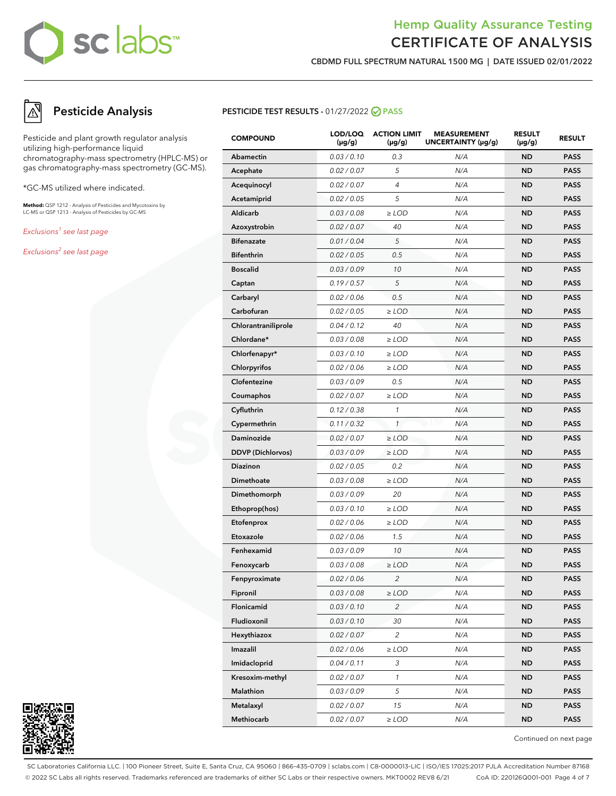## Hemp Quality Assurance Testing CERTIFICATE OF ANALYSIS

**CBDMD FULL SPECTRUM NATURAL 1500 MG | DATE ISSUED 02/01/2022**

## **Pesticide Analysis**

Pesticide and plant growth regulator analysis utilizing high-performance liquid chromatography-mass spectrometry (HPLC-MS) or gas chromatography-mass spectrometry (GC-MS).

\*GC-MS utilized where indicated.

**Method:** QSP 1212 - Analysis of Pesticides and Mycotoxins by LC-MS or QSP 1213 - Analysis of Pesticides by GC-MS

Exclusions<sup>1</sup> see last page

Exclusions<sup>2</sup> see last page



| <b>COMPOUND</b>          | LOD/LOQ<br>$(\mu g/g)$ | <b>ACTION LIMIT</b><br>$(\mu g/g)$ | <b>MEASUREMENT</b><br>UNCERTAINTY (µg/g) | <b>RESULT</b><br>(µg/g) | <b>RESULT</b> |
|--------------------------|------------------------|------------------------------------|------------------------------------------|-------------------------|---------------|
| Abamectin                | 0.03 / 0.10            | 0.3                                | N/A                                      | <b>ND</b>               | <b>PASS</b>   |
| Acephate                 | 0.02 / 0.07            | 5                                  | N/A                                      | <b>ND</b>               | <b>PASS</b>   |
| Acequinocyl              | 0.02 / 0.07            | 4                                  | N/A                                      | <b>ND</b>               | <b>PASS</b>   |
| Acetamiprid              | 0.02 / 0.05            | 5                                  | N/A                                      | <b>ND</b>               | <b>PASS</b>   |
| Aldicarb                 | 0.03 / 0.08            | $\geq$ LOD                         | N/A                                      | <b>ND</b>               | <b>PASS</b>   |
| Azoxystrobin             | 0.02 / 0.07            | 40                                 | N/A                                      | <b>ND</b>               | <b>PASS</b>   |
| <b>Bifenazate</b>        | 0.01 / 0.04            | 5                                  | N/A                                      | <b>ND</b>               | <b>PASS</b>   |
| <b>Bifenthrin</b>        | 0.02 / 0.05            | 0.5                                | N/A                                      | <b>ND</b>               | <b>PASS</b>   |
| <b>Boscalid</b>          | 0.03 / 0.09            | 10                                 | N/A                                      | <b>ND</b>               | <b>PASS</b>   |
| Captan                   | 0.19/0.57              | 5                                  | N/A                                      | <b>ND</b>               | <b>PASS</b>   |
| Carbaryl                 | 0.02 / 0.06            | 0.5                                | N/A                                      | <b>ND</b>               | <b>PASS</b>   |
| Carbofuran               | 0.02 / 0.05            | $\ge$ LOD                          | N/A                                      | <b>ND</b>               | <b>PASS</b>   |
| Chlorantraniliprole      | 0.04 / 0.12            | 40                                 | N/A                                      | <b>ND</b>               | <b>PASS</b>   |
| Chlordane*               | 0.03 / 0.08            | $\ge$ LOD                          | N/A                                      | <b>ND</b>               | <b>PASS</b>   |
| Chlorfenapyr*            | 0.03 / 0.10            | $\ge$ LOD                          | N/A                                      | <b>ND</b>               | <b>PASS</b>   |
| Chlorpyrifos             | 0.02 / 0.06            | $\geq$ LOD                         | N/A                                      | <b>ND</b>               | <b>PASS</b>   |
| Clofentezine             | 0.03 / 0.09            | 0.5                                | N/A                                      | <b>ND</b>               | <b>PASS</b>   |
| Coumaphos                | 0.02 / 0.07            | $\geq$ LOD                         | N/A                                      | <b>ND</b>               | <b>PASS</b>   |
| Cyfluthrin               | 0.12 / 0.38            | $\mathcal{I}$                      | N/A                                      | <b>ND</b>               | <b>PASS</b>   |
| Cypermethrin             | 0.11 / 0.32            | $\mathcal{I}$                      | N/A                                      | <b>ND</b>               | <b>PASS</b>   |
| Daminozide               | 0.02 / 0.07            | $\geq$ LOD                         | N/A                                      | <b>ND</b>               | <b>PASS</b>   |
| <b>DDVP</b> (Dichlorvos) | 0.03 / 0.09            | $\geq$ LOD                         | N/A                                      | <b>ND</b>               | <b>PASS</b>   |
| Diazinon                 | 0.02 / 0.05            | 0.2                                | N/A                                      | <b>ND</b>               | <b>PASS</b>   |
| Dimethoate               | 0.03 / 0.08            | $\geq$ LOD                         | N/A                                      | <b>ND</b>               | <b>PASS</b>   |
| Dimethomorph             | 0.03 / 0.09            | 20                                 | N/A                                      | <b>ND</b>               | <b>PASS</b>   |
| Ethoprop(hos)            | 0.03 / 0.10            | $\geq$ LOD                         | N/A                                      | <b>ND</b>               | <b>PASS</b>   |
| Etofenprox               | 0.02 / 0.06            | $\geq$ LOD                         | N/A                                      | <b>ND</b>               | <b>PASS</b>   |
| Etoxazole                | 0.02 / 0.06            | 1.5                                | N/A                                      | <b>ND</b>               | <b>PASS</b>   |
| Fenhexamid               | 0.03 / 0.09            | 10                                 | N/A                                      | <b>ND</b>               | <b>PASS</b>   |
| Fenoxycarb               | 0.03 / 0.08            | $\geq$ LOD                         | N/A                                      | <b>ND</b>               | <b>PASS</b>   |
| Fenpyroximate            | 0.02 / 0.06            | $\overline{c}$                     | N/A                                      | ND                      | <b>PASS</b>   |
| Fipronil                 | 0.03 / 0.08            | $\geq$ LOD                         | N/A                                      | ND                      | <b>PASS</b>   |
| Flonicamid               | 0.03 / 0.10            | $\overline{c}$                     | N/A                                      | <b>ND</b>               | <b>PASS</b>   |
| Fludioxonil              | 0.03 / 0.10            | 30                                 | N/A                                      | <b>ND</b>               | <b>PASS</b>   |
| Hexythiazox              | 0.02 / 0.07            | 2                                  | N/A                                      | ND                      | <b>PASS</b>   |
| Imazalil                 | 0.02 / 0.06            | $\geq$ LOD                         | N/A                                      | <b>ND</b>               | <b>PASS</b>   |
| Imidacloprid             | 0.04 / 0.11            | 3                                  | N/A                                      | <b>ND</b>               | <b>PASS</b>   |
| Kresoxim-methyl          | 0.02 / 0.07            | $\mathbf{1}$                       | N/A                                      | <b>ND</b>               | <b>PASS</b>   |
| Malathion                | 0.03 / 0.09            | 5                                  | N/A                                      | <b>ND</b>               | <b>PASS</b>   |
| Metalaxyl                | 0.02 / 0.07            | 15                                 | N/A                                      | <b>ND</b>               | <b>PASS</b>   |
| Methiocarb               | 0.02 / 0.07            | $\geq$ LOD                         | N/A                                      | <b>ND</b>               | <b>PASS</b>   |



Continued on next page

SC Laboratories California LLC. | 100 Pioneer Street, Suite E, Santa Cruz, CA 95060 | 866-435-0709 | sclabs.com | C8-0000013-LIC | ISO/IES 17025:2017 PJLA Accreditation Number 87168 © 2022 SC Labs all rights reserved. Trademarks referenced are trademarks of either SC Labs or their respective owners. MKT0002 REV8 6/21 CoA ID: 220126Q001-001 Page 4 of 7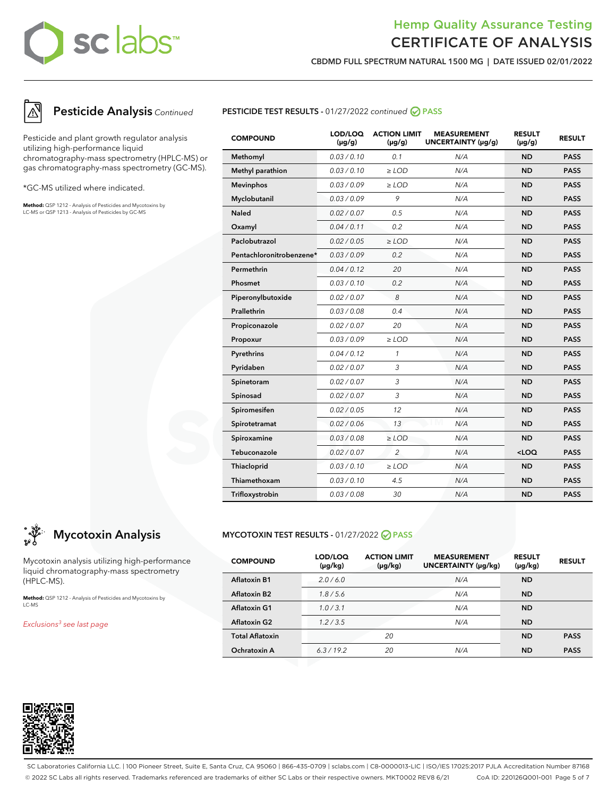## Hemp Quality Assurance Testing CERTIFICATE OF ANALYSIS

**CBDMD FULL SPECTRUM NATURAL 1500 MG | DATE ISSUED 02/01/2022**



### **Pesticide Analysis** Continued

Pesticide and plant growth regulator analysis utilizing high-performance liquid chromatography-mass spectrometry (HPLC-MS) or gas chromatography-mass spectrometry (GC-MS).

\*GC-MS utilized where indicated.

**Method:** QSP 1212 - Analysis of Pesticides and Mycotoxins by LC-MS or QSP 1213 - Analysis of Pesticides by GC-MS



| <b>COMPOUND</b>          | LOD/LOQ<br>$(\mu g/g)$ | <b>ACTION LIMIT</b><br>$(\mu q/q)$ | <b>MEASUREMENT</b><br>UNCERTAINTY (µg/g) | <b>RESULT</b><br>$(\mu q/q)$ | <b>RESULT</b> |
|--------------------------|------------------------|------------------------------------|------------------------------------------|------------------------------|---------------|
| Methomyl                 | 0.03/0.10              | 0.1                                | N/A                                      | <b>ND</b>                    | <b>PASS</b>   |
| Methyl parathion         | 0.03 / 0.10            | $\ge$ LOD                          | N/A                                      | <b>ND</b>                    | <b>PASS</b>   |
| <b>Mevinphos</b>         | 0.03 / 0.09            | $\geq$ LOD                         | N/A                                      | <b>ND</b>                    | <b>PASS</b>   |
| Myclobutanil             | 0.03/0.09              | 9                                  | N/A                                      | <b>ND</b>                    | <b>PASS</b>   |
| <b>Naled</b>             | 0.02 / 0.07            | 0.5                                | N/A                                      | <b>ND</b>                    | <b>PASS</b>   |
| Oxamyl                   | 0.04/0.11              | 0.2                                | N/A                                      | <b>ND</b>                    | <b>PASS</b>   |
| Paclobutrazol            | 0.02 / 0.05            | $>$ LOD                            | N/A                                      | <b>ND</b>                    | <b>PASS</b>   |
| Pentachloronitrobenzene* | 0.03/0.09              | 0.2                                | N/A                                      | <b>ND</b>                    | <b>PASS</b>   |
| Permethrin               | 0.04 / 0.12            | 20                                 | N/A                                      | <b>ND</b>                    | <b>PASS</b>   |
| Phosmet                  | 0.03 / 0.10            | 0.2                                | N/A                                      | <b>ND</b>                    | <b>PASS</b>   |
| Piperonylbutoxide        | 0.02 / 0.07            | 8                                  | N/A                                      | <b>ND</b>                    | <b>PASS</b>   |
| Prallethrin              | 0.03 / 0.08            | 0.4                                | N/A                                      | <b>ND</b>                    | <b>PASS</b>   |
| Propiconazole            | 0.02 / 0.07            | 20                                 | N/A                                      | <b>ND</b>                    | <b>PASS</b>   |
| Propoxur                 | 0.03/0.09              | $\ge$ LOD                          | N/A                                      | <b>ND</b>                    | <b>PASS</b>   |
| Pyrethrins               | 0.04 / 0.12            | 1                                  | N/A                                      | <b>ND</b>                    | <b>PASS</b>   |
| Pyridaben                | 0.02 / 0.07            | 3                                  | N/A                                      | <b>ND</b>                    | <b>PASS</b>   |
| Spinetoram               | 0.02 / 0.07            | 3                                  | N/A                                      | <b>ND</b>                    | <b>PASS</b>   |
| Spinosad                 | 0.02 / 0.07            | 3                                  | N/A                                      | <b>ND</b>                    | <b>PASS</b>   |
| Spiromesifen             | 0.02 / 0.05            | 12                                 | N/A                                      | <b>ND</b>                    | <b>PASS</b>   |
| Spirotetramat            | 0.02 / 0.06            | 13                                 | N/A                                      | <b>ND</b>                    | <b>PASS</b>   |
| Spiroxamine              | 0.03 / 0.08            | $\ge$ LOD                          | N/A                                      | <b>ND</b>                    | <b>PASS</b>   |
| Tebuconazole             | 0.02 / 0.07            | $\overline{2}$                     | N/A                                      | $<$ LOQ                      | <b>PASS</b>   |
| Thiacloprid              | 0.03/0.10              | $\ge$ LOD                          | N/A                                      | <b>ND</b>                    | <b>PASS</b>   |
| Thiamethoxam             | 0.03/0.10              | 4.5                                | N/A                                      | <b>ND</b>                    | <b>PASS</b>   |
| Trifloxystrobin          | 0.03 / 0.08            | 30                                 | N/A                                      | <b>ND</b>                    | <b>PASS</b>   |

## **Mycotoxin Analysis**

Mycotoxin analysis utilizing high-performance liquid chromatography-mass spectrometry (HPLC-MS).

**Method:** QSP 1212 - Analysis of Pesticides and Mycotoxins by LC-MS

Exclusions<sup>3</sup> see last page

### **MYCOTOXIN TEST RESULTS -** 01/27/2022 **PASS**

| <b>COMPOUND</b>        | LOD/LOQ<br>(µg/kg) | <b>ACTION LIMIT</b><br>$(\mu g/kg)$ | <b>MEASUREMENT</b><br>UNCERTAINTY (µg/kg) | <b>RESULT</b><br>$(\mu g/kg)$ | <b>RESULT</b> |
|------------------------|--------------------|-------------------------------------|-------------------------------------------|-------------------------------|---------------|
| <b>Aflatoxin B1</b>    | 2.0/6.0            |                                     | N/A                                       | <b>ND</b>                     |               |
| <b>Aflatoxin B2</b>    | 1.8/5.6            |                                     | N/A                                       | <b>ND</b>                     |               |
| <b>Aflatoxin G1</b>    | 1.0/3.1            |                                     | N/A                                       | <b>ND</b>                     |               |
| <b>Aflatoxin G2</b>    | 1.2 / 3.5          |                                     | N/A                                       | <b>ND</b>                     |               |
| <b>Total Aflatoxin</b> |                    | 20                                  |                                           | <b>ND</b>                     | <b>PASS</b>   |
| Ochratoxin A           | 6.3/19.2           | 20                                  | N/A                                       | <b>ND</b>                     | <b>PASS</b>   |



SC Laboratories California LLC. | 100 Pioneer Street, Suite E, Santa Cruz, CA 95060 | 866-435-0709 | sclabs.com | C8-0000013-LIC | ISO/IES 17025:2017 PJLA Accreditation Number 87168 © 2022 SC Labs all rights reserved. Trademarks referenced are trademarks of either SC Labs or their respective owners. MKT0002 REV8 6/21 CoA ID: 220126Q001-001 Page 5 of 7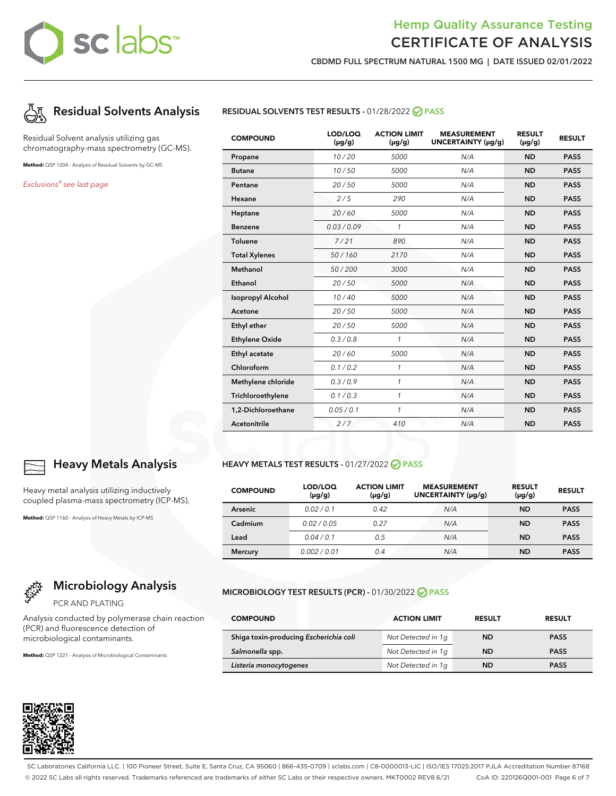## Hemp Quality Assurance Testing CERTIFICATE OF ANALYSIS

**CBDMD FULL SPECTRUM NATURAL 1500 MG | DATE ISSUED 02/01/2022**



Residual Solvent analysis utilizing gas chromatography-mass spectrometry (GC-MS).

**Method:** QSP 1204 - Analysis of Residual Solvents by GC-MS

Exclusions<sup>4</sup> see last page



| leavy me |  |
|----------|--|
| n helaun |  |

**Heavy Metals Analysis**

etal analysis utilizing inductively plasma-mass spectrometry (ICP-MS).

**Method:** QSP 1160 - Analysis of Heavy Metals by ICP-MS

## **Microbiology Analysis**

PCR AND PLATING

Analysis conducted by polymerase chain reaction (PCR) and fluorescence detection of microbiological contaminants.

**Method:** QSP 1221 - Analysis of Microbiological Contaminants



### **RESIDUAL SOLVENTS TEST RESULTS -** 01/28/2022 **PASS**

| <b>COMPOUND</b>          | LOD/LOQ<br>$(\mu g/g)$ | <b>ACTION LIMIT</b><br>$(\mu g/g)$ | <b>MEASUREMENT</b><br>UNCERTAINTY (µg/g) | <b>RESULT</b><br>$(\mu g/g)$ | <b>RESULT</b> |
|--------------------------|------------------------|------------------------------------|------------------------------------------|------------------------------|---------------|
| Propane                  | 10/20                  | 5000                               | N/A                                      | <b>ND</b>                    | <b>PASS</b>   |
| <b>Butane</b>            | 10/50                  | 5000                               | N/A                                      | <b>ND</b>                    | <b>PASS</b>   |
| Pentane                  | 20/50                  | 5000                               | N/A                                      | <b>ND</b>                    | <b>PASS</b>   |
| Hexane                   | 2/5                    | 290                                | N/A                                      | <b>ND</b>                    | <b>PASS</b>   |
| Heptane                  | 20/60                  | 5000                               | N/A                                      | <b>ND</b>                    | <b>PASS</b>   |
| <b>Benzene</b>           | 0.03/0.09              | $\mathcal{I}$                      | N/A                                      | <b>ND</b>                    | <b>PASS</b>   |
| Toluene                  | 7/21                   | 890                                | N/A                                      | <b>ND</b>                    | <b>PASS</b>   |
| <b>Total Xylenes</b>     | 50/160                 | 2170                               | N/A                                      | <b>ND</b>                    | <b>PASS</b>   |
| Methanol                 | 50/200                 | 3000                               | N/A                                      | <b>ND</b>                    | <b>PASS</b>   |
| Ethanol                  | 20/50                  | 5000                               | N/A                                      | <b>ND</b>                    | <b>PASS</b>   |
| <b>Isopropyl Alcohol</b> | 10/40                  | 5000                               | N/A                                      | <b>ND</b>                    | <b>PASS</b>   |
| Acetone                  | 20/50                  | 5000                               | N/A                                      | <b>ND</b>                    | <b>PASS</b>   |
| Ethyl ether              | 20/50                  | 5000                               | N/A                                      | <b>ND</b>                    | <b>PASS</b>   |
| <b>Ethylene Oxide</b>    | 0.3/0.8                | $\mathbf{1}$                       | N/A                                      | <b>ND</b>                    | <b>PASS</b>   |
| Ethyl acetate            | 20/60                  | 5000                               | N/A                                      | <b>ND</b>                    | <b>PASS</b>   |
| Chloroform               | 0.1 / 0.2              | $\mathbf{1}$                       | N/A                                      | <b>ND</b>                    | <b>PASS</b>   |
| Methylene chloride       | 0.3/0.9                | $\mathbf{1}$                       | N/A                                      | <b>ND</b>                    | <b>PASS</b>   |
| Trichloroethylene        | 0.1 / 0.3              | $\mathcal{I}$                      | N/A                                      | <b>ND</b>                    | <b>PASS</b>   |
| 1,2-Dichloroethane       | 0.05 / 0.1             | 1                                  | N/A                                      | <b>ND</b>                    | <b>PASS</b>   |
| Acetonitrile             | 2/7                    | 410                                | N/A                                      | <b>ND</b>                    | <b>PASS</b>   |

### **HEAVY METALS TEST RESULTS - 01/27/2022 ⊘ PASS**

| <b>COMPOUND</b> | LOD/LOQ<br>$(\mu g/g)$ | <b>ACTION LIMIT</b><br>$(\mu g/g)$ | <b>MEASUREMENT</b><br>UNCERTAINTY (µq/q) | <b>RESULT</b><br>$(\mu g/g)$ | <b>RESULT</b> |
|-----------------|------------------------|------------------------------------|------------------------------------------|------------------------------|---------------|
| <b>Arsenic</b>  | 0.02/0.1               | 0.42                               | N/A                                      | <b>ND</b>                    | <b>PASS</b>   |
| Cadmium         | 0.02/0.05              | 0.27                               | N/A                                      | <b>ND</b>                    | <b>PASS</b>   |
| Lead            | 0.04/0.1               | 0.5                                | N/A                                      | <b>ND</b>                    | <b>PASS</b>   |
| <b>Mercury</b>  | 0.002/0.01             | 0.4                                | N/A                                      | ND                           | <b>PASS</b>   |

### **MICROBIOLOGY TEST RESULTS (PCR) -** 01/30/2022 **PASS**

| <b>COMPOUND</b>                        | <b>ACTION LIMIT</b> | <b>RESULT</b> | <b>RESULT</b> |
|----------------------------------------|---------------------|---------------|---------------|
| Shiga toxin-producing Escherichia coli | Not Detected in 1g  | <b>ND</b>     | <b>PASS</b>   |
| Salmonella spp.                        | Not Detected in 1q  | <b>ND</b>     | <b>PASS</b>   |
| Listeria monocytogenes                 | Not Detected in 1q  | ND            | <b>PASS</b>   |

SC Laboratories California LLC. | 100 Pioneer Street, Suite E, Santa Cruz, CA 95060 | 866-435-0709 | sclabs.com | C8-0000013-LIC | ISO/IES 17025:2017 PJLA Accreditation Number 87168 © 2022 SC Labs all rights reserved. Trademarks referenced are trademarks of either SC Labs or their respective owners. MKT0002 REV8 6/21 CoA ID: 220126Q001-001 Page 6 of 7